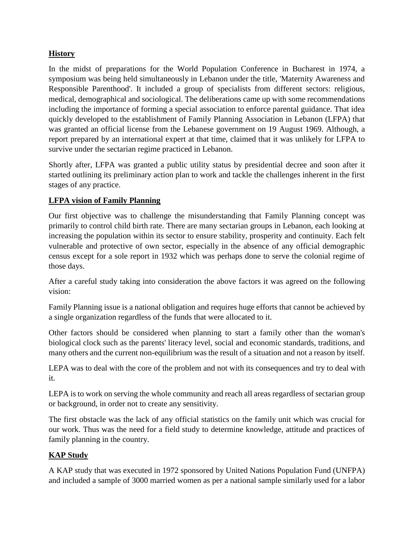## **History**

In the midst of preparations for the World Population Conference in Bucharest in 1974, a symposium was being held simultaneously in Lebanon under the title, 'Maternity Awareness and Responsible Parenthood'. It included a group of specialists from different sectors: religious, medical, demographical and sociological. The deliberations came up with some recommendations including the importance of forming a special association to enforce parental guidance. That idea quickly developed to the establishment of Family Planning Association in Lebanon (LFPA) that was granted an official license from the Lebanese government on 19 August 1969. Although, a report prepared by an international expert at that time, claimed that it was unlikely for LFPA to survive under the sectarian regime practiced in Lebanon.

Shortly after, LFPA was granted a public utility status by presidential decree and soon after it started outlining its preliminary action plan to work and tackle the challenges inherent in the first stages of any practice.

## **LFPA vision of Family Planning**

Our first objective was to challenge the misunderstanding that Family Planning concept was primarily to control child birth rate. There are many sectarian groups in Lebanon, each looking at increasing the population within its sector to ensure stability, prosperity and continuity. Each felt vulnerable and protective of own sector, especially in the absence of any official demographic census except for a sole report in 1932 which was perhaps done to serve the colonial regime of those days.

After a careful study taking into consideration the above factors it was agreed on the following vision:

Family Planning issue is a national obligation and requires huge efforts that cannot be achieved by a single organization regardless of the funds that were allocated to it.

Other factors should be considered when planning to start a family other than the woman's biological clock such as the parents' literacy level, social and economic standards, traditions, and many others and the current non-equilibrium was the result of a situation and not a reason by itself.

LEPA was to deal with the core of the problem and not with its consequences and try to deal with it.

LEPA is to work on serving the whole community and reach all areas regardless of sectarian group or background, in order not to create any sensitivity.

The first obstacle was the lack of any official statistics on the family unit which was crucial for our work. Thus was the need for a field study to determine knowledge, attitude and practices of family planning in the country.

## **KAP Study**

A KAP study that was executed in 1972 sponsored by United Nations Population Fund (UNFPA) and included a sample of 3000 married women as per a national sample similarly used for a labor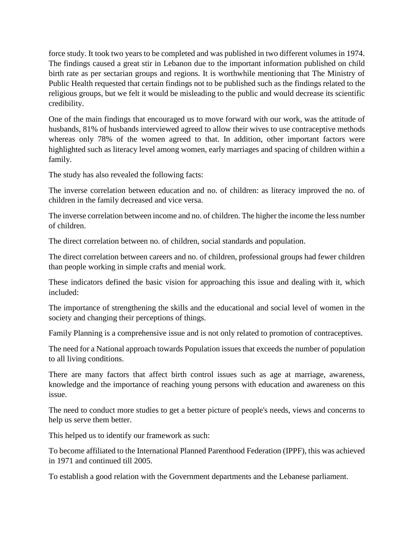force study. It took two years to be completed and was published in two different volumes in 1974. The findings caused a great stir in Lebanon due to the important information published on child birth rate as per sectarian groups and regions. It is worthwhile mentioning that The Ministry of Public Health requested that certain findings not to be published such as the findings related to the religious groups, but we felt it would be misleading to the public and would decrease its scientific credibility.

One of the main findings that encouraged us to move forward with our work, was the attitude of husbands, 81% of husbands interviewed agreed to allow their wives to use contraceptive methods whereas only 78% of the women agreed to that. In addition, other important factors were highlighted such as literacy level among women, early marriages and spacing of children within a family.

The study has also revealed the following facts:

The inverse correlation between education and no. of children: as literacy improved the no. of children in the family decreased and vice versa.

The inverse correlation between income and no. of children. The higher the income the less number of children.

The direct correlation between no. of children, social standards and population.

The direct correlation between careers and no. of children, professional groups had fewer children than people working in simple crafts and menial work.

These indicators defined the basic vision for approaching this issue and dealing with it, which included:

The importance of strengthening the skills and the educational and social level of women in the society and changing their perceptions of things.

Family Planning is a comprehensive issue and is not only related to promotion of contraceptives.

The need for a National approach towards Population issues that exceeds the number of population to all living conditions.

There are many factors that affect birth control issues such as age at marriage, awareness, knowledge and the importance of reaching young persons with education and awareness on this issue.

The need to conduct more studies to get a better picture of people's needs, views and concerns to help us serve them better.

This helped us to identify our framework as such:

To become affiliated to the International Planned Parenthood Federation (IPPF), this was achieved in 1971 and continued till 2005.

To establish a good relation with the Government departments and the Lebanese parliament.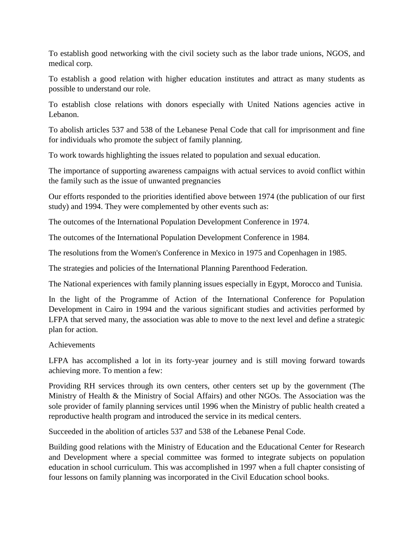To establish good networking with the civil society such as the labor trade unions, NGOS, and medical corp.

To establish a good relation with higher education institutes and attract as many students as possible to understand our role.

To establish close relations with donors especially with United Nations agencies active in Lebanon.

To abolish articles 537 and 538 of the Lebanese Penal Code that call for imprisonment and fine for individuals who promote the subject of family planning.

To work towards highlighting the issues related to population and sexual education.

The importance of supporting awareness campaigns with actual services to avoid conflict within the family such as the issue of unwanted pregnancies

Our efforts responded to the priorities identified above between 1974 (the publication of our first study) and 1994. They were complemented by other events such as:

The outcomes of the International Population Development Conference in 1974.

The outcomes of the International Population Development Conference in 1984.

The resolutions from the Women's Conference in Mexico in 1975 and Copenhagen in 1985.

The strategies and policies of the International Planning Parenthood Federation.

The National experiences with family planning issues especially in Egypt, Morocco and Tunisia.

In the light of the Programme of Action of the International Conference for Population Development in Cairo in 1994 and the various significant studies and activities performed by LFPA that served many, the association was able to move to the next level and define a strategic plan for action.

## Achievements

LFPA has accomplished a lot in its forty-year journey and is still moving forward towards achieving more. To mention a few:

Providing RH services through its own centers, other centers set up by the government (The Ministry of Health & the Ministry of Social Affairs) and other NGOs. The Association was the sole provider of family planning services until 1996 when the Ministry of public health created a reproductive health program and introduced the service in its medical centers.

Succeeded in the abolition of articles 537 and 538 of the Lebanese Penal Code.

Building good relations with the Ministry of Education and the Educational Center for Research and Development where a special committee was formed to integrate subjects on population education in school curriculum. This was accomplished in 1997 when a full chapter consisting of four lessons on family planning was incorporated in the Civil Education school books.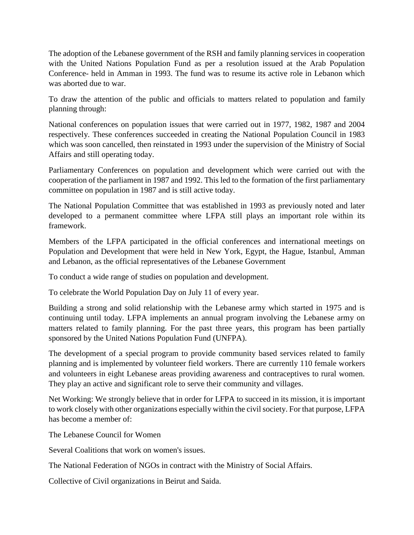The adoption of the Lebanese government of the RSH and family planning services in cooperation with the United Nations Population Fund as per a resolution issued at the Arab Population Conference- held in Amman in 1993. The fund was to resume its active role in Lebanon which was aborted due to war.

To draw the attention of the public and officials to matters related to population and family planning through:

National conferences on population issues that were carried out in 1977, 1982, 1987 and 2004 respectively. These conferences succeeded in creating the National Population Council in 1983 which was soon cancelled, then reinstated in 1993 under the supervision of the Ministry of Social Affairs and still operating today.

Parliamentary Conferences on population and development which were carried out with the cooperation of the parliament in 1987 and 1992. This led to the formation of the first parliamentary committee on population in 1987 and is still active today.

The National Population Committee that was established in 1993 as previously noted and later developed to a permanent committee where LFPA still plays an important role within its framework.

Members of the LFPA participated in the official conferences and international meetings on Population and Development that were held in New York, Egypt, the Hague, Istanbul, Amman and Lebanon, as the official representatives of the Lebanese Government

To conduct a wide range of studies on population and development.

To celebrate the World Population Day on July 11 of every year.

Building a strong and solid relationship with the Lebanese army which started in 1975 and is continuing until today. LFPA implements an annual program involving the Lebanese army on matters related to family planning. For the past three years, this program has been partially sponsored by the United Nations Population Fund (UNFPA).

The development of a special program to provide community based services related to family planning and is implemented by volunteer field workers. There are currently 110 female workers and volunteers in eight Lebanese areas providing awareness and contraceptives to rural women. They play an active and significant role to serve their community and villages.

Net Working: We strongly believe that in order for LFPA to succeed in its mission, it is important to work closely with other organizations especially within the civil society. For that purpose, LFPA has become a member of:

The Lebanese Council for Women

Several Coalitions that work on women's issues.

The National Federation of NGOs in contract with the Ministry of Social Affairs.

Collective of Civil organizations in Beirut and Saida.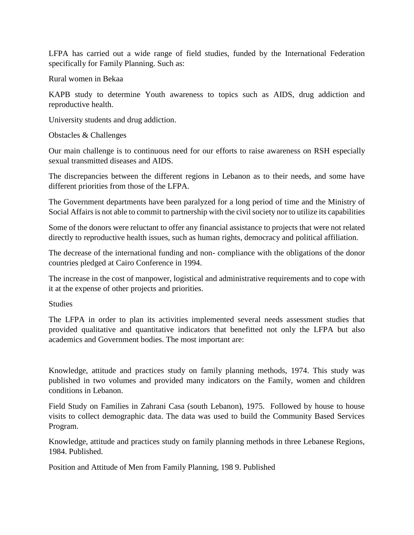LFPA has carried out a wide range of field studies, funded by the International Federation specifically for Family Planning. Such as:

Rural women in Bekaa

KAPB study to determine Youth awareness to topics such as AIDS, drug addiction and reproductive health.

University students and drug addiction.

Obstacles & Challenges

Our main challenge is to continuous need for our efforts to raise awareness on RSH especially sexual transmitted diseases and AIDS.

The discrepancies between the different regions in Lebanon as to their needs, and some have different priorities from those of the LFPA.

The Government departments have been paralyzed for a long period of time and the Ministry of Social Affairs is not able to commit to partnership with the civil society nor to utilize its capabilities

Some of the donors were reluctant to offer any financial assistance to projects that were not related directly to reproductive health issues, such as human rights, democracy and political affiliation.

The decrease of the international funding and non- compliance with the obligations of the donor countries pledged at Cairo Conference in 1994.

The increase in the cost of manpower, logistical and administrative requirements and to cope with it at the expense of other projects and priorities.

**Studies** 

The LFPA in order to plan its activities implemented several needs assessment studies that provided qualitative and quantitative indicators that benefitted not only the LFPA but also academics and Government bodies. The most important are:

Knowledge, attitude and practices study on family planning methods, 1974. This study was published in two volumes and provided many indicators on the Family, women and children conditions in Lebanon.

Field Study on Families in Zahrani Casa (south Lebanon), 1975. Followed by house to house visits to collect demographic data. The data was used to build the Community Based Services Program.

Knowledge, attitude and practices study on family planning methods in three Lebanese Regions, 1984. Published.

Position and Attitude of Men from Family Planning, 198 9. Published